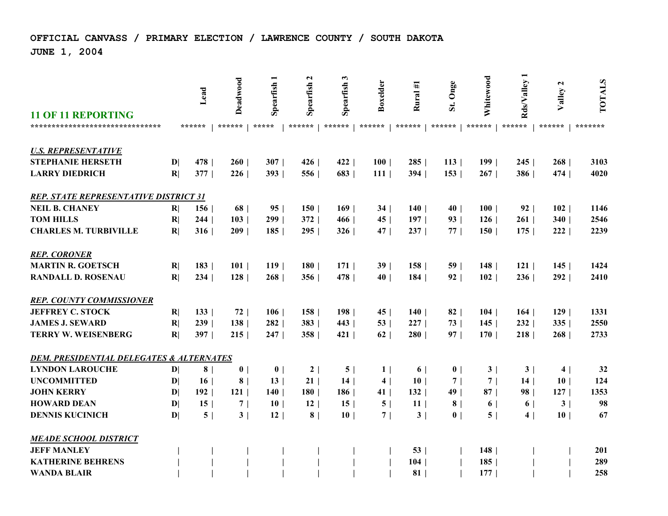## **OFFICIAL CANVASS / PRIMARY ELECTION / LAWRENCE COUNTY / SOUTH DAKOTA**

**JUNE 1, 2004**

| <b>11 OF 11 REPORTING</b>                |              | Lead           | Deadwood       | Spearfish       | $\mathbf{z}$<br>Spearfish | 3<br>Spearfish | Boxelder        | Rural #1        | St. Onge        | Whitewood        | Rds/Valley 1   | $\mathbf{z}$<br>Valley | <b>TOTALS</b> |
|------------------------------------------|--------------|----------------|----------------|-----------------|---------------------------|----------------|-----------------|-----------------|-----------------|------------------|----------------|------------------------|---------------|
| *******************************          |              | ******         | ******         | *****           | ******                    | ******         | ******          | ******          | ******          | ******           | ******         | ******                 | *******       |
| <b>U.S. REPRESENTATIVE</b>               |              |                |                |                 |                           |                |                 |                 |                 |                  |                |                        |               |
| <b>STEPHANIE HERSETH</b>                 | $\mathbf{D}$ | 478            | 260            | 307             | 426                       | 422            | 100             | 285             | 113             | $199$            | 245            | 268                    | 3103          |
| <b>LARRY DIEDRICH</b>                    | R            | 377            | 226            | 393             | 556                       | 683            | 111             | 394             | 153             | 267              | 386            | 474                    | 4020          |
|                                          |              |                |                |                 |                           |                |                 |                 |                 |                  |                |                        |               |
| REP. STATE REPRESENTATIVE DISTRICT 31    |              |                |                |                 |                           |                |                 |                 |                 |                  |                |                        |               |
| <b>NEIL B. CHANEY</b>                    | R            | 156            | 68             | 95              | 150                       | 169            | 34              | 140             | 40              | 100              | 92             | 102                    | 1146          |
| <b>TOM HILLS</b>                         | R            | 244            | 103            | 299             | 372                       | 466            | 45              | 197             | 93              | 126              | 261            | 340                    | 2546          |
| <b>CHARLES M. TURBIVILLE</b>             | R            | 316            | 209            | 185             | 295                       | 326            | 47 <sup>1</sup> | 237             | 77 <sub>1</sub> | 150 <sub>1</sub> | 175            | 222                    | 2239          |
|                                          |              |                |                |                 |                           |                |                 |                 |                 |                  |                |                        |               |
| <b>REP. CORONER</b>                      |              |                |                |                 |                           |                |                 |                 |                 |                  |                |                        |               |
| <b>MARTIN R. GOETSCH</b>                 | R            | 183            | 101            | 119             | 180                       | 171            | 39 <sup>1</sup> | 158             | 59 <sub>1</sub> | 148              | 121            | 145                    | 1424          |
| <b>RANDALL D. ROSENAU</b>                | R            | 234            | 128            | 268             | 356                       | 478            | 40              | 184             | 92              | 102              | 236            | 292                    | 2410          |
| <b>REP. COUNTY COMMISSIONER</b>          |              |                |                |                 |                           |                |                 |                 |                 |                  |                |                        |               |
| <b>JEFFREY C. STOCK</b>                  | R            | 133            | 72             | 106             | 158                       | 198            | 45              | 140             | 82              | 104              | 164            | 129                    | 1331          |
| <b>JAMES J. SEWARD</b>                   | R            | 239            | 138            | 282             | 383                       | 443            | 53              | 227             | 73              | 145              | 232            | 335                    | 2550          |
| <b>TERRY W. WEISENBERG</b>               | R            | 397            | 215            | 247             | 358                       | 421            | 62              | 280             | 97 <sub>1</sub> | 170 <sub>1</sub> | 218            | 268                    | 2733          |
| DEM. PRESIDENTIAL DELEGATES & ALTERNATES |              |                |                |                 |                           |                |                 |                 |                 |                  |                |                        |               |
| <b>LYNDON LAROUCHE</b>                   | $\mathbf{D}$ | 8 <sup>1</sup> | 0 <sub>1</sub> | $\mathbf{0}$    | 2                         | 5 <sup>5</sup> | $1\vert$        | 6 <sup>1</sup>  | 0 <sub>1</sub>  | 3                | 3              | 4                      | 32            |
| <b>UNCOMMITTED</b>                       | $\mathbf{D}$ | 16             | 8 <sup>1</sup> | 13              | 21                        | 14             | 4               | 10 <sup>1</sup> | 7               | 7 <sup>1</sup>   | 14             | 10 <sup>1</sup>        | 124           |
| <b>JOHN KERRY</b>                        | $\mathbf{D}$ | $192$          | 121            | 140             | 180                       | 186            | 41              | 132             | 49 <sub>1</sub> | 87               | 98             | 127                    | 1353          |
| <b>HOWARD DEAN</b>                       | $\mathbf{D}$ | 15             | 7              | 10 <sup>1</sup> | 12                        | 15             | 5               | 11 <sup>1</sup> | 8 <sup>1</sup>  | 6 <sup>1</sup>   | 6 <sup>1</sup> | 3                      | 98            |
| <b>DENNIS KUCINICH</b>                   | $\mathbf{D}$ | 5              | 3              | 12              | 8 <sup>1</sup>            | 10             | 7               | 3               | 0 <sup>1</sup>  | 5                | 4              | 10 <sup>1</sup>        | 67            |
|                                          |              |                |                |                 |                           |                |                 |                 |                 |                  |                |                        |               |
| <b>MEADE SCHOOL DISTRICT</b>             |              |                |                |                 |                           |                |                 |                 |                 |                  |                |                        |               |
| <b>JEFF MANLEY</b>                       |              |                |                |                 |                           |                |                 | 53              |                 | 148              |                |                        | 201           |
| <b>KATHERINE BEHRENS</b>                 |              |                |                |                 |                           |                |                 | 104             |                 | 185              |                |                        | 289           |
| <b>WANDA BLAIR</b>                       |              |                |                |                 |                           |                |                 | 81              |                 | 177              |                |                        | 258           |